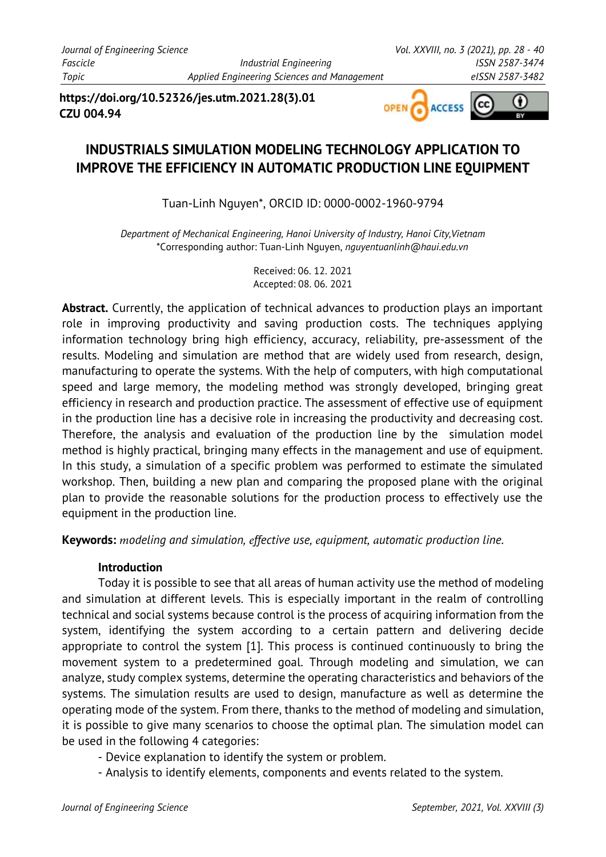**https://doi.org/10.52326/jes.utm.2021.28(3).01 CZU 004.94**



# **INDUSTRIALS SIMULATION MODELING TECHNOLOGY APPLICATION TO IMPROVE THE EFFICIENCY IN AUTOMATIC PRODUCTION LINE EQUIPMENT**

Tuan-Linh Nguyen\*, ORCID ID: 0000-0002-1960-9794

*Department of Mechanical Engineering, Hanoi University of Industry, Hanoi City,Vietnam* \*Corresponding author: Tuan-Linh Nguyen, *nguyentuanlinh@haui.edu.vn*

> Received: 06. 12. 2021 Accepted: 08. 06. 2021

**Abstract.** Currently, the application of technical advances to production plays an important role in improving productivity and saving production costs. The techniques applying information technology bring high efficiency, accuracy, reliability, pre-assessment of the results. Modeling and simulation are method that are widely used from research, design, manufacturing to operate the systems. With the help of computers, with high computational speed and large memory, the modeling method was strongly developed, bringing great efficiency in research and production practice. The assessment of effective use of equipment in the production line has a decisive role in increasing the productivity and decreasing cost. Therefore, the analysis and evaluation of the production line by the simulation model method is highly practical, bringing many effects in the management and use of equipment. In this study, a simulation of a specific problem was performed to estimate the simulated workshop. Then, building a new plan and comparing the proposed plane with the original plan to provide the reasonable solutions for the production process to effectively use the equipment in the production line.

**Keywords:** *modeling and simulation, effective use, equipment, automatic production line.*

### **Introduction**

Today it is possible to see that all areas of human activity use the method of modeling and simulation at different levels. This is especially important in the realm of controlling technical and social systems because control is the process of acquiring information from the system, identifying the system according to a certain pattern and delivering decide appropriate to control the system [1]. This process is continued continuously to bring the movement system to a predetermined goal. Through modeling and simulation, we can analyze, study complex systems, determine the operating characteristics and behaviors of the systems. The simulation results are used to design, manufacture as well as determine the operating mode of the system. From there, thanks to the method of modeling and simulation, it is possible to give many scenarios to choose the optimal plan. The simulation model can be used in the following 4 categories:

- Device explanation to identify the system or problem.
- Analysis to identify elements, components and events related to the system.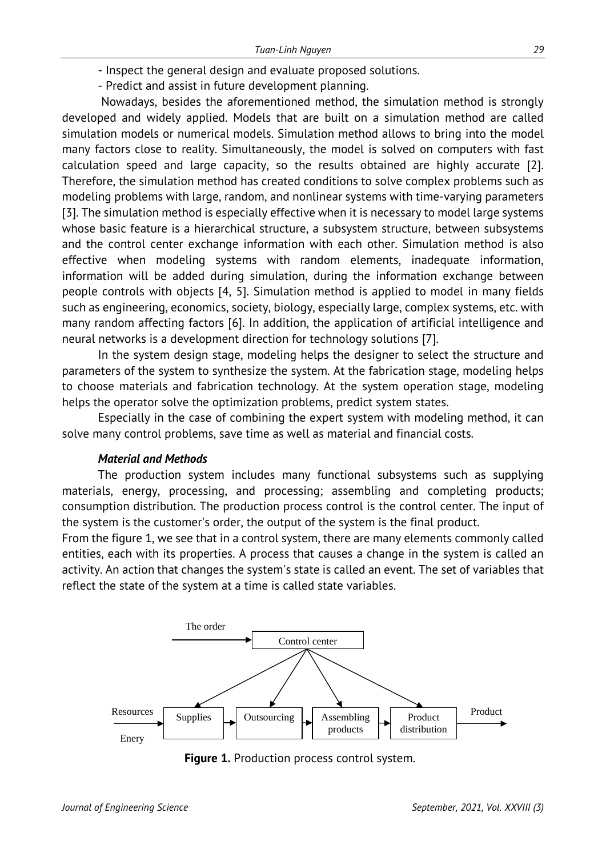- Inspect the general design and evaluate proposed solutions.
- Predict and assist in future development planning.

Nowadays, besides the aforementioned method, the simulation method is strongly developed and widely applied. Models that are built on a simulation method are called simulation models or numerical models. Simulation method allows to bring into the model many factors close to reality. Simultaneously, the model is solved on computers with fast calculation speed and large capacity, so the results obtained are highly accurate [2]. Therefore, the simulation method has created conditions to solve complex problems such as modeling problems with large, random, and nonlinear systems with time-varying parameters [3]. The simulation method is especially effective when it is necessary to model large systems whose basic feature is a hierarchical structure, a subsystem structure, between subsystems and the control center exchange information with each other. Simulation method is also effective when modeling systems with random elements, inadequate information, information will be added during simulation, during the information exchange between people controls with objects [4, 5]. Simulation method is applied to model in many fields such as engineering, economics, society, biology, especially large, complex systems, etc. with many random affecting factors [6]. In addition, the application of artificial intelligence and neural networks is a development direction for technology solutions [7].

In the system design stage, modeling helps the designer to select the structure and parameters of the system to synthesize the system. At the fabrication stage, modeling helps to choose materials and fabrication technology. At the system operation stage, modeling helps the operator solve the optimization problems, predict system states.

Especially in the case of combining the expert system with modeling method, it can solve many control problems, save time as well as material and financial costs.

#### *Material and Methods*

The production system includes many functional subsystems such as supplying materials, energy, processing, and processing; assembling and completing products; consumption distribution. The production process control is the control center. The input of the system is the customer's order, the output of the system is the final product.

From the figure 1, we see that in a control system, there are many elements commonly called entities, each with its properties. A process that causes a change in the system is called an activity. An action that changes the system's state is called an event. The set of variables that reflect the state of the system at a time is called state variables.



**Figure 1.** Production process control system.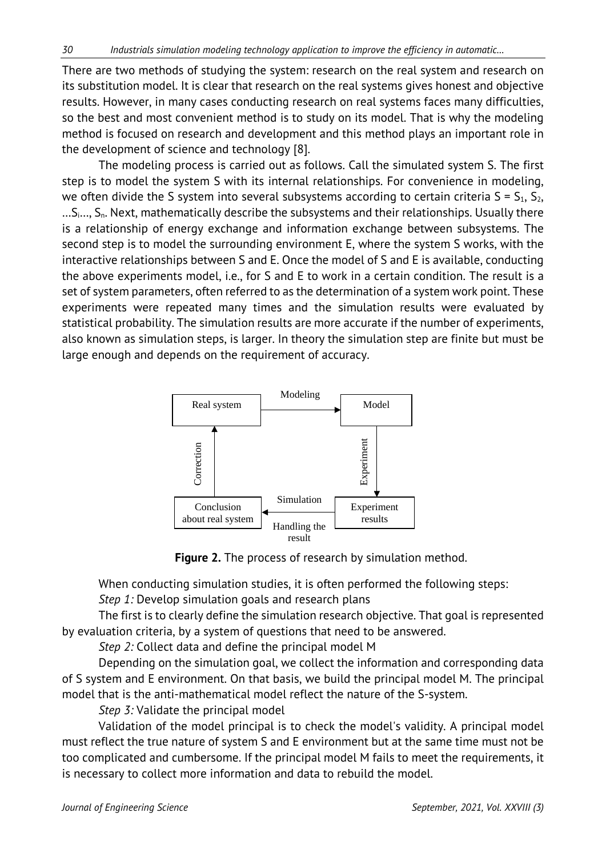There are two methods of studying the system: research on the real system and research on its substitution model. It is clear that research on the real systems gives honest and objective results. However, in many cases conducting research on real systems faces many difficulties, so the best and most convenient method is to study on its model. That is why the modeling method is focused on research and development and this method plays an important role in the development of science and technology [8].

The modeling process is carried out as follows. Call the simulated system S. The first step is to model the system S with its internal relationships. For convenience in modeling, we often divide the S system into several subsystems according to certain criteria  $S = S_1, S_2,$  $...S_i...$ ,  $S_n$ . Next, mathematically describe the subsystems and their relationships. Usually there is a relationship of energy exchange and information exchange between subsystems. The second step is to model the surrounding environment E, where the system S works, with the interactive relationships between S and E. Once the model of S and E is available, conducting the above experiments model, i.e., for S and E to work in a certain condition. The result is a set of system parameters, often referred to as the determination of a system work point. These experiments were repeated many times and the simulation results were evaluated by statistical probability. The simulation results are more accurate if the number of experiments, also known as simulation steps, is larger. In theory the simulation step are finite but must be large enough and depends on the requirement of accuracy.



**Figure 2.** The process of research by simulation method.

When conducting simulation studies, it is often performed the following steps: *Step 1:* Develop simulation goals and research plans

The first is to clearly define the simulation research objective. That goal is represented by evaluation criteria, by a system of questions that need to be answered.

*Step 2:* Collect data and define the principal model M

Depending on the simulation goal, we collect the information and corresponding data of S system and E environment. On that basis, we build the principal model M. The principal model that is the anti-mathematical model reflect the nature of the S-system.

*Step 3:* Validate the principal model

Validation of the model principal is to check the model's validity. A principal model must reflect the true nature of system S and E environment but at the same time must not be too complicated and cumbersome. If the principal model M fails to meet the requirements, it is necessary to collect more information and data to rebuild the model.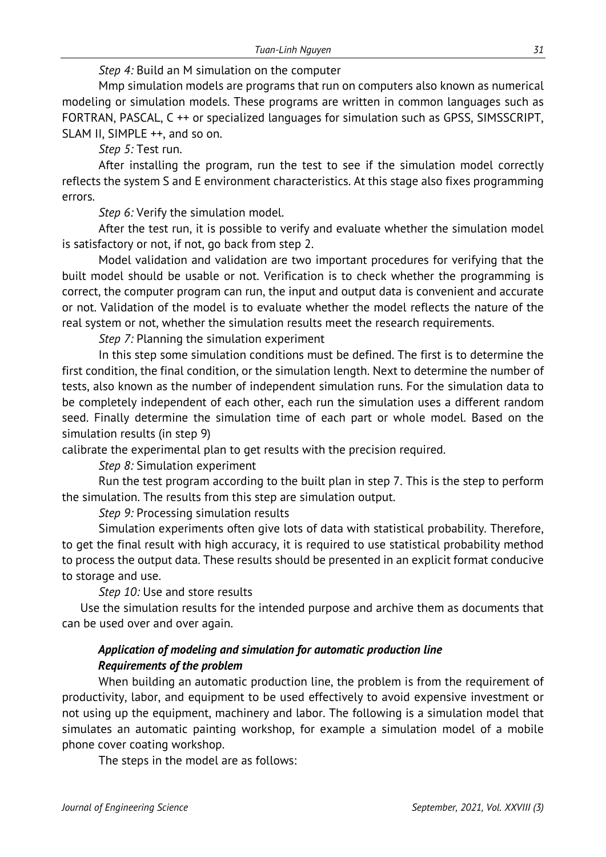### *Step 4:* Build an M simulation on the computer

Mmp simulation models are programs that run on computers also known as numerical modeling or simulation models. These programs are written in common languages such as FORTRAN, PASCAL, C ++ or specialized languages for simulation such as GPSS, SIMSSCRIPT, SLAM II, SIMPLE ++, and so on.

*Step 5:* Test run.

After installing the program, run the test to see if the simulation model correctly reflects the system S and E environment characteristics. At this stage also fixes programming errors.

*Step 6:* Verify the simulation model.

After the test run, it is possible to verify and evaluate whether the simulation model is satisfactory or not, if not, go back from step 2.

Model validation and validation are two important procedures for verifying that the built model should be usable or not. Verification is to check whether the programming is correct, the computer program can run, the input and output data is convenient and accurate or not. Validation of the model is to evaluate whether the model reflects the nature of the real system or not, whether the simulation results meet the research requirements.

*Step 7:* Planning the simulation experiment

In this step some simulation conditions must be defined. The first is to determine the first condition, the final condition, or the simulation length. Next to determine the number of tests, also known as the number of independent simulation runs. For the simulation data to be completely independent of each other, each run the simulation uses a different random seed. Finally determine the simulation time of each part or whole model. Based on the simulation results (in step 9)

calibrate the experimental plan to get results with the precision required.

*Step 8:* Simulation experiment

Run the test program according to the built plan in step 7. This is the step to perform the simulation. The results from this step are simulation output.

*Step 9:* Processing simulation results

Simulation experiments often give lots of data with statistical probability. Therefore, to get the final result with high accuracy, it is required to use statistical probability method to process the output data. These results should be presented in an explicit format conducive to storage and use.

*Step 10:* Use and store results

Use the simulation results for the intended purpose and archive them as documents that can be used over and over again.

## *Application of modeling and simulation for automatic production line Requirements of the problem*

When building an automatic production line, the problem is from the requirement of productivity, labor, and equipment to be used effectively to avoid expensive investment or not using up the equipment, machinery and labor. The following is a simulation model that simulates an automatic painting workshop, for example a simulation model of a mobile phone cover coating workshop.

The steps in the model are as follows: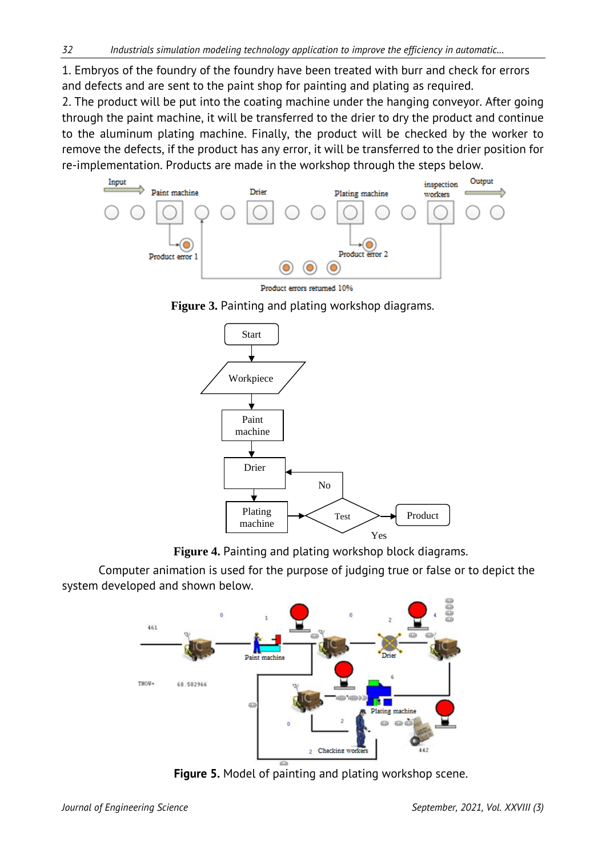1. Embryos of the foundry of the foundry have been treated with burr and check for errors and defects and are sent to the paint shop for painting and plating as required.

2. The product will be put into the coating machine under the hanging conveyor. After going through the paint machine, it will be transferred to the drier to dry the product and continue to the aluminum plating machine. Finally, the product will be checked by the worker to remove the defects, if the product has any error, it will be transferred to the drier position for re-implementation. Products are made in the workshop through the steps below.



Product errors returned 10%





**Figure 4.** Painting and plating workshop block diagrams.

Computer animation is used for the purpose of judging true or false or to depict the system developed and shown below.



**Figure 5.** Model of painting and plating workshop scene.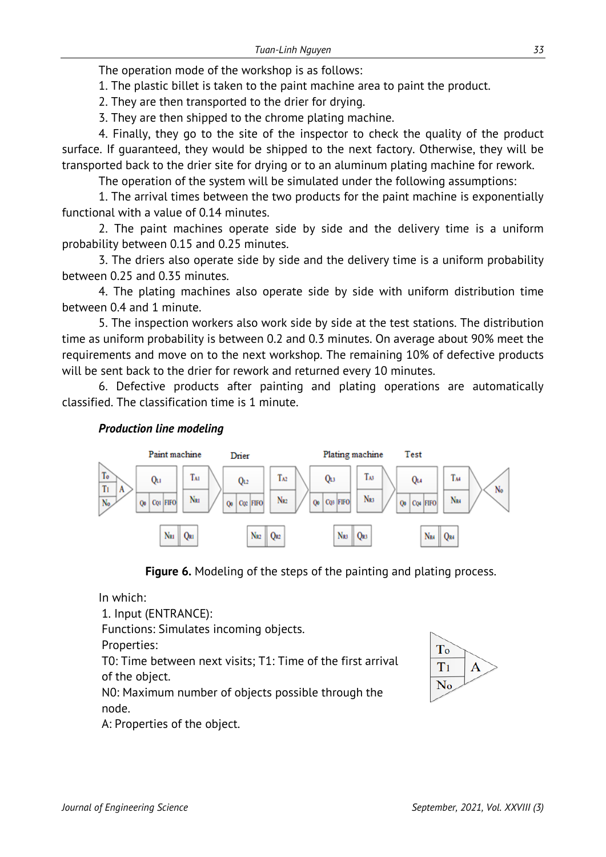The operation mode of the workshop is as follows:

1. The plastic billet is taken to the paint machine area to paint the product.

2. They are then transported to the drier for drying.

3. They are then shipped to the chrome plating machine.

4. Finally, they go to the site of the inspector to check the quality of the product surface. If guaranteed, they would be shipped to the next factory. Otherwise, they will be transported back to the drier site for drying or to an aluminum plating machine for rework.

The operation of the system will be simulated under the following assumptions:

1. The arrival times between the two products for the paint machine is exponentially functional with a value of 0.14 minutes.

2. The paint machines operate side by side and the delivery time is a uniform probability between 0.15 and 0.25 minutes.

3. The driers also operate side by side and the delivery time is a uniform probability between 0.25 and 0.35 minutes.

4. The plating machines also operate side by side with uniform distribution time between 0.4 and 1 minute.

5. The inspection workers also work side by side at the test stations. The distribution time as uniform probability is between 0.2 and 0.3 minutes. On average about 90% meet the requirements and move on to the next workshop. The remaining 10% of defective products will be sent back to the drier for rework and returned every 10 minutes.

6. Defective products after painting and plating operations are automatically classified. The classification time is 1 minute.

### *Production line modeling*





In which: 1. Input (ENTRANCE): Functions: Simulates incoming objects. Properties: T0: Time between next visits; T1: Time of the first arrival of the object. N0: Maximum number of objects possible through the node. A: Properties of the object.

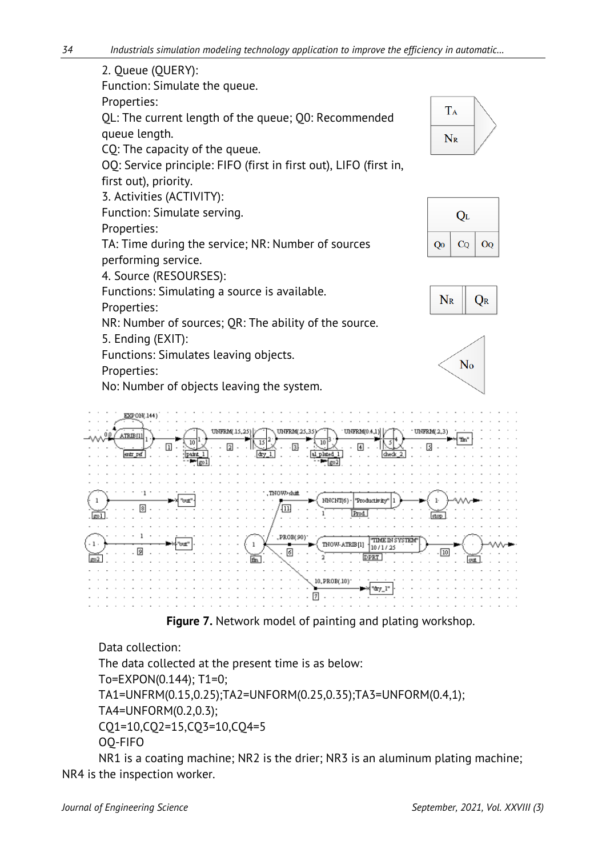





Data collection: The data collected at the present time is as below: To=EXPON(0.144); T1=0; TA1=UNFRM(0.15,0.25);TA2=UNFORM(0.25,0.35);TA3=UNFORM(0.4,1); TA4=UNFORM(0.2,0.3); CQ1=10,CQ2=15,CQ3=10,CQ4=5 OQ-FIFO

NR1 is a coating machine; NR2 is the drier; NR3 is an aluminum plating machine; NR4 is the inspection worker.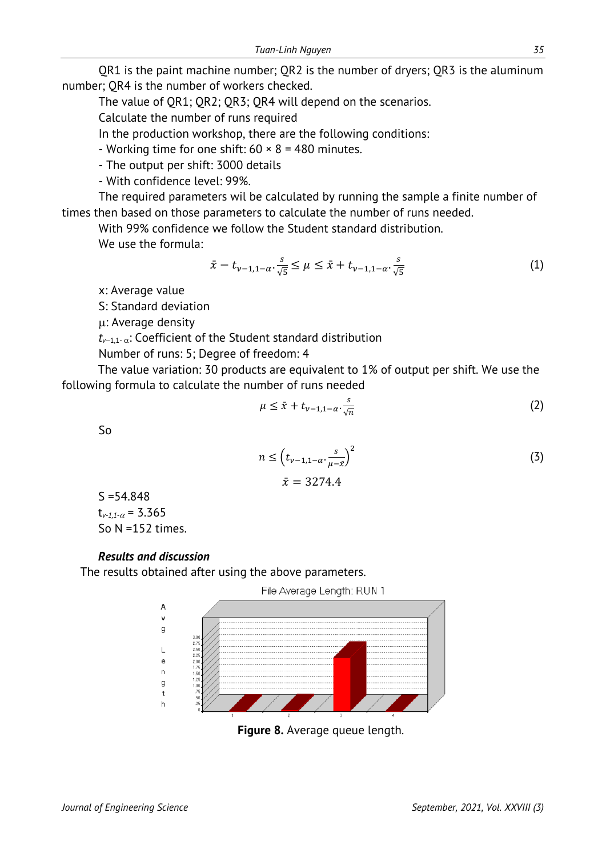QR1 is the paint machine number; QR2 is the number of dryers; QR3 is the aluminum number; QR4 is the number of workers checked.

The value of QR1; QR2; QR3; QR4 will depend on the scenarios.

Calculate the number of runs required

In the production workshop, there are the following conditions:

- Working time for one shift:  $60 \times 8 = 480$  minutes.

- The output per shift: 3000 details

- With confidence level: 99%.

The required parameters wil be calculated by running the sample a finite number of times then based on those parameters to calculate the number of runs needed.

With 99% confidence we follow the Student standard distribution.

We use the formula:

$$
\bar{x} - t_{\nu-1,1-\alpha} \cdot \frac{s}{\sqrt{5}} \le \mu \le \bar{x} + t_{\nu-1,1-\alpha} \cdot \frac{s}{\sqrt{5}}
$$
 (1)

x: Average value

S: Standard deviation

µ: Average density

*tv*<sup>−</sup>1,1- <sup>α</sup>: Coefficient of the Student standard distribution

Number of runs: 5; Degree of freedom: 4

The value variation: 30 products are equivalent to 1% of output per shift. We use the following formula to calculate the number of runs needed

$$
\mu \leq \bar{x} + t_{\nu-1,1-\alpha} \cdot \frac{s}{\sqrt{n}} \tag{2}
$$

So

$$
n \le \left(t_{\nu-1,1-\alpha} \cdot \frac{s}{\mu-\bar{x}}\right)^2
$$
  

$$
\bar{x} = 3274.4
$$
 (3)

 $S = 54.848$ t<sub>*v*-1,1- $\alpha$ </sub> = 3.365 So N =152 times.

### *Results and discussion*

The results obtained after using the above parameters.



**Figure 8.** Average queue length.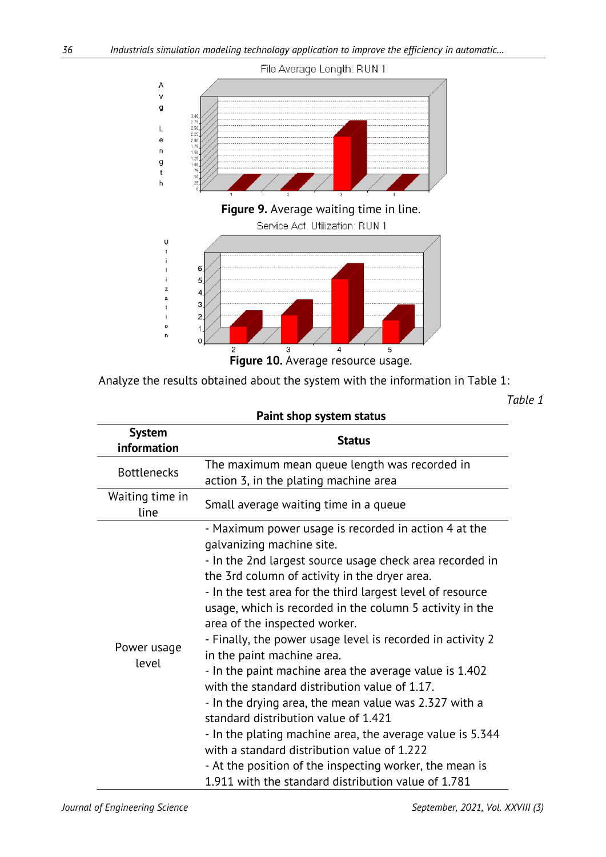

Analyze the results obtained about the system with the information in Table 1:

*Table 1*

| Paint shop system status     |                                                                                                                                                                                                                                                                                                                                                                                                                                                                                                                                                                                                                                                                                                                                                                                                                                                                                                 |  |  |  |
|------------------------------|-------------------------------------------------------------------------------------------------------------------------------------------------------------------------------------------------------------------------------------------------------------------------------------------------------------------------------------------------------------------------------------------------------------------------------------------------------------------------------------------------------------------------------------------------------------------------------------------------------------------------------------------------------------------------------------------------------------------------------------------------------------------------------------------------------------------------------------------------------------------------------------------------|--|--|--|
| <b>System</b><br>information | <b>Status</b>                                                                                                                                                                                                                                                                                                                                                                                                                                                                                                                                                                                                                                                                                                                                                                                                                                                                                   |  |  |  |
| <b>Bottlenecks</b>           | The maximum mean queue length was recorded in<br>action 3, in the plating machine area                                                                                                                                                                                                                                                                                                                                                                                                                                                                                                                                                                                                                                                                                                                                                                                                          |  |  |  |
| Waiting time in<br>line      | Small average waiting time in a queue                                                                                                                                                                                                                                                                                                                                                                                                                                                                                                                                                                                                                                                                                                                                                                                                                                                           |  |  |  |
| Power usage<br>level         | - Maximum power usage is recorded in action 4 at the<br>galvanizing machine site.<br>- In the 2nd largest source usage check area recorded in<br>the 3rd column of activity in the dryer area.<br>- In the test area for the third largest level of resource<br>usage, which is recorded in the column 5 activity in the<br>area of the inspected worker.<br>- Finally, the power usage level is recorded in activity 2<br>in the paint machine area.<br>- In the paint machine area the average value is 1.402<br>with the standard distribution value of 1.17.<br>- In the drying area, the mean value was 2.327 with a<br>standard distribution value of 1.421<br>- In the plating machine area, the average value is 5.344<br>with a standard distribution value of 1.222<br>- At the position of the inspecting worker, the mean is<br>1.911 with the standard distribution value of 1.781 |  |  |  |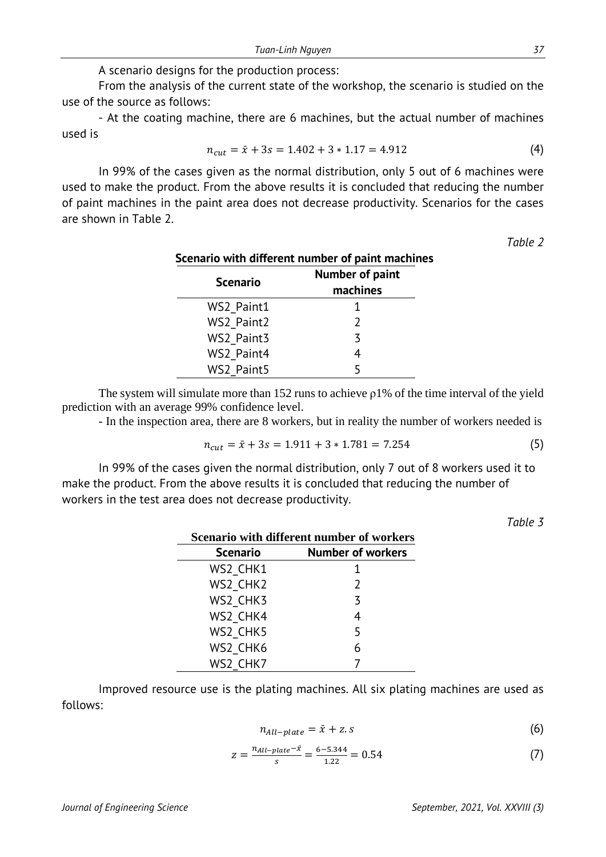A scenario designs for the production process:

From the analysis of the current state of the workshop, the scenario is studied on the use of the source as follows:

- At the coating machine, there are 6 machines, but the actual number of machines used is

$$
n_{cut} = \bar{x} + 3s = 1.402 + 3 * 1.17 = 4.912
$$
 (4)

In 99% of the cases given as the normal distribution, only 5 out of 6 machines were used to make the product. From the above results it is concluded that reducing the number of paint machines in the paint area does not decrease productivity. Scenarios for the cases are shown in Table 2.

*Table 2*

| Scenario with different number of paint machines |                 |  |  |  |
|--------------------------------------------------|-----------------|--|--|--|
|                                                  | Number of paint |  |  |  |
| <b>Scenario</b>                                  | machines        |  |  |  |
| WS2 Paint1                                       |                 |  |  |  |
| WS2 Paint2                                       | $\mathcal{L}$   |  |  |  |
| WS2 Paint3                                       | 3               |  |  |  |
| WS2 Paint4                                       | 4               |  |  |  |
| WS2 Paint5                                       |                 |  |  |  |

The system will simulate more than 152 runs to achieve ρ1% of the time interval of the yield prediction with an average 99% confidence level.

- In the inspection area, there are 8 workers, but in reality the number of workers needed is

$$
n_{cut} = \bar{x} + 3s = 1.911 + 3 * 1.781 = 7.254
$$
 (5)

In 99% of the cases given the normal distribution, only 7 out of 8 workers used it to make the product. From the above results it is concluded that reducing the number of workers in the test area does not decrease productivity.

*Table 3*

| Scenario with different number of workers |                 |                          |  |  |
|-------------------------------------------|-----------------|--------------------------|--|--|
|                                           | <b>Scenario</b> | <b>Number of workers</b> |  |  |
|                                           | WS2 CHK1        |                          |  |  |
|                                           | WS2 CHK2        | $\mathcal{P}$            |  |  |
|                                           | WS2 CHK3        | 3                        |  |  |
|                                           | WS2 CHK4        | 4                        |  |  |
|                                           | WS2 CHK5        | 5                        |  |  |
|                                           | WS2 CHK6        |                          |  |  |
|                                           | WS2 CHK7        |                          |  |  |

Improved resource use is the plating machines. All six plating machines are used as follows:

$$
n_{All-plate} = \bar{x} + z.s \tag{6}
$$

$$
z = \frac{n_{All-plate} - \bar{x}}{s} = \frac{6 - 5.344}{1.22} = 0.54\tag{7}
$$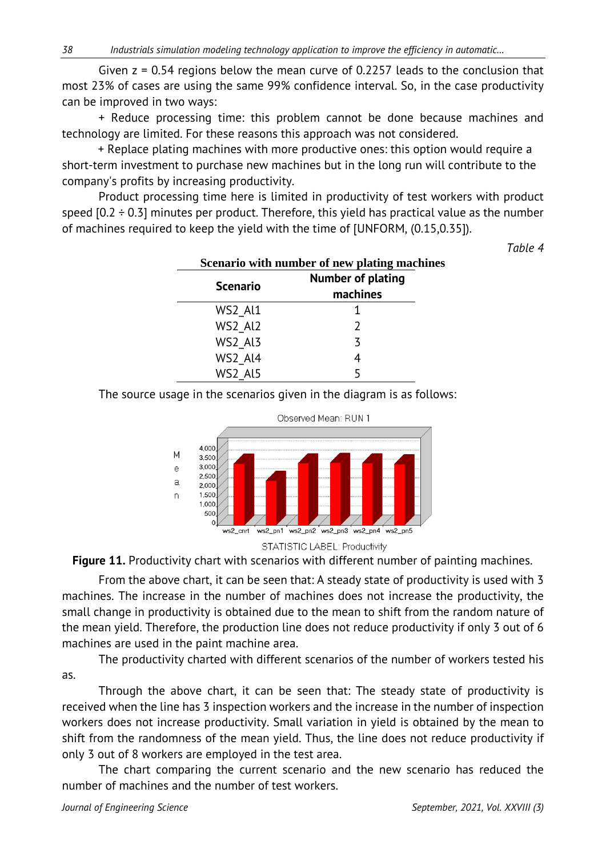Given z = 0.54 regions below the mean curve of 0.2257 leads to the conclusion that most 23% of cases are using the same 99% confidence interval. So, in the case productivity can be improved in two ways:

+ Reduce processing time: this problem cannot be done because machines and technology are limited. For these reasons this approach was not considered.

+ Replace plating machines with more productive ones: this option would require a short-term investment to purchase new machines but in the long run will contribute to the company's profits by increasing productivity.

Product processing time here is limited in productivity of test workers with product speed  $[0.2 \div 0.3]$  minutes per product. Therefore, this yield has practical value as the number of machines required to keep the yield with the time of [UNFORM, (0.15,0.35]).

*Table 4*

| Scenario with number of new plating machines |                                      |  |  |  |
|----------------------------------------------|--------------------------------------|--|--|--|
| <b>Scenario</b>                              | <b>Number of plating</b><br>machines |  |  |  |
| WS2 Al1                                      |                                      |  |  |  |
| WS2 Al2                                      |                                      |  |  |  |
| WS2 Al3                                      | ζ                                    |  |  |  |
| WS2 Al4                                      |                                      |  |  |  |
| WS2 Al5                                      |                                      |  |  |  |

The source usage in the scenarios given in the diagram is as follows:





**Figure 11.** Productivity chart with scenarios with different number of painting machines.

From the above chart, it can be seen that: A steady state of productivity is used with 3 machines. The increase in the number of machines does not increase the productivity, the small change in productivity is obtained due to the mean to shift from the random nature of the mean yield. Therefore, the production line does not reduce productivity if only 3 out of 6 machines are used in the paint machine area.

The productivity charted with different scenarios of the number of workers tested his as.

Through the above chart, it can be seen that: The steady state of productivity is received when the line has 3 inspection workers and the increase in the number of inspection workers does not increase productivity. Small variation in yield is obtained by the mean to shift from the randomness of the mean yield. Thus, the line does not reduce productivity if only 3 out of 8 workers are employed in the test area.

The chart comparing the current scenario and the new scenario has reduced the number of machines and the number of test workers.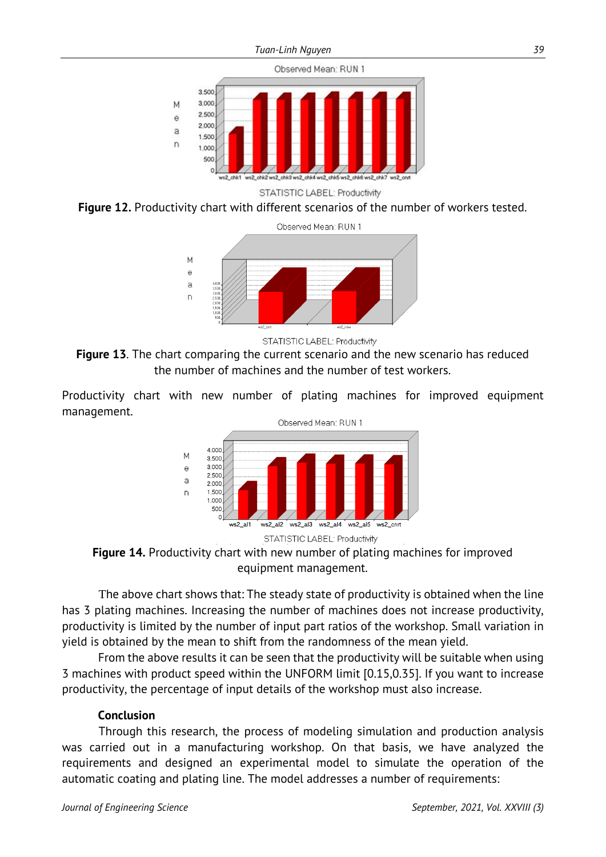

**Figure 12.** Productivity chart with different scenarios of the number of workers tested.



STATISTIC LABEL: Productivity

**Figure 13**. The chart comparing the current scenario and the new scenario has reduced the number of machines and the number of test workers.

Productivity chart with new number of plating machines for improved equipment management.



**Figure 14.** Productivity chart with new number of plating machines for improved equipment management.

The above chart shows that: The steady state of productivity is obtained when the line has 3 plating machines. Increasing the number of machines does not increase productivity, productivity is limited by the number of input part ratios of the workshop. Small variation in yield is obtained by the mean to shift from the randomness of the mean yield.

From the above results it can be seen that the productivity will be suitable when using 3 machines with product speed within the UNFORM limit [0.15,0.35]. If you want to increase productivity, the percentage of input details of the workshop must also increase.

#### **Conclusion**

Through this research, the process of modeling simulation and production analysis was carried out in a manufacturing workshop. On that basis, we have analyzed the requirements and designed an experimental model to simulate the operation of the automatic coating and plating line. The model addresses a number of requirements: